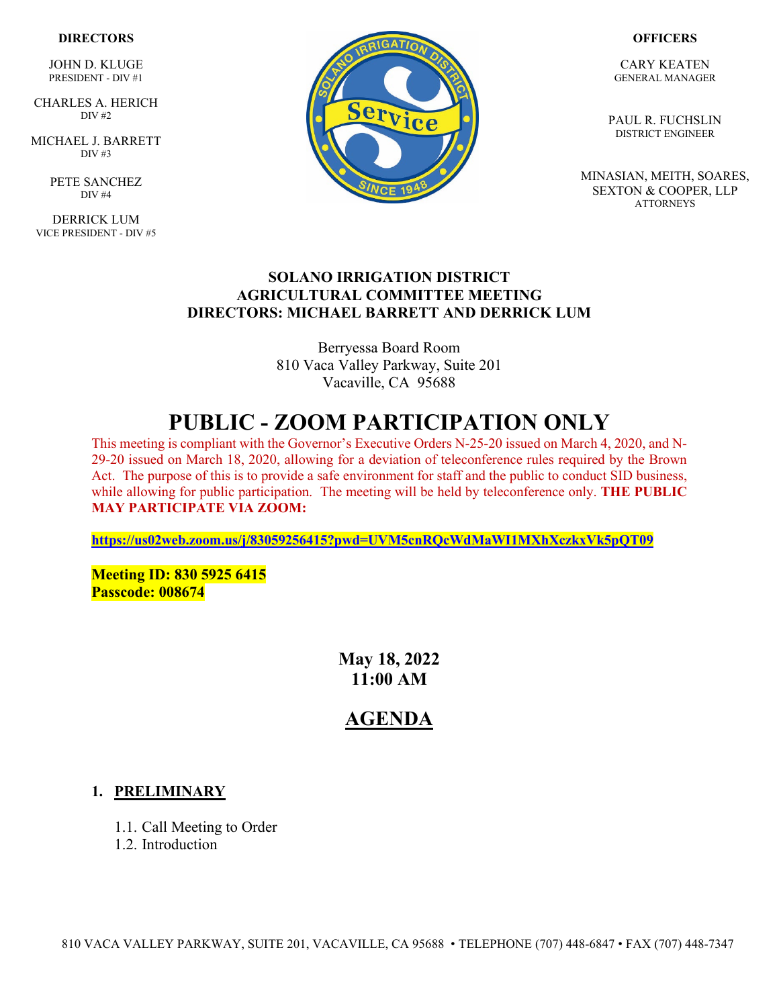### **DIRECTORS**

JOHN D. KLUGE PRESIDENT - DIV #1

 CHARLES A. HERICH  $\overline{DIV}$  #2

MICHAEL J. BARRETT DIV  $\#3$ 

> PETE SANCHEZ DIV #4

DERRICK LUM VICE PRESIDENT - DIV #5



#### **OFFICERS**

CARY KEATEN GENERAL MANAGER

PAUL R. FUCHSLIN DISTRICT ENGINEER

MINASIAN, MEITH, SOARES, SEXTON & COOPER, LLP **ATTORNEYS** 

### **SOLANO IRRIGATION DISTRICT AGRICULTURAL COMMITTEE MEETING DIRECTORS: MICHAEL BARRETT AND DERRICK LUM**

Berryessa Board Room 810 Vaca Valley Parkway, Suite 201 Vacaville, CA 95688

# **PUBLIC - ZOOM PARTICIPATION ONLY**

This meeting is compliant with the Governor's Executive Orders N-25-20 issued on March 4, 2020, and N-29-20 issued on March 18, 2020, allowing for a deviation of teleconference rules required by the Brown Act. The purpose of this is to provide a safe environment for staff and the public to conduct SID business, while allowing for public participation. The meeting will be held by teleconference only. **THE PUBLIC MAY PARTICIPATE VIA ZOOM:** 

**<https://us02web.zoom.us/j/83059256415?pwd=UVM5cnRQcWdMaWI1MXhXczkxVk5pQT09>**

**Meeting ID: 830 5925 6415 Passcode: 008674**

> **May 18, 2022 11:00 AM**

## **AGENDA**

### **1. PRELIMINARY**

- 1.1. Call Meeting to Order
- 1.2. Introduction